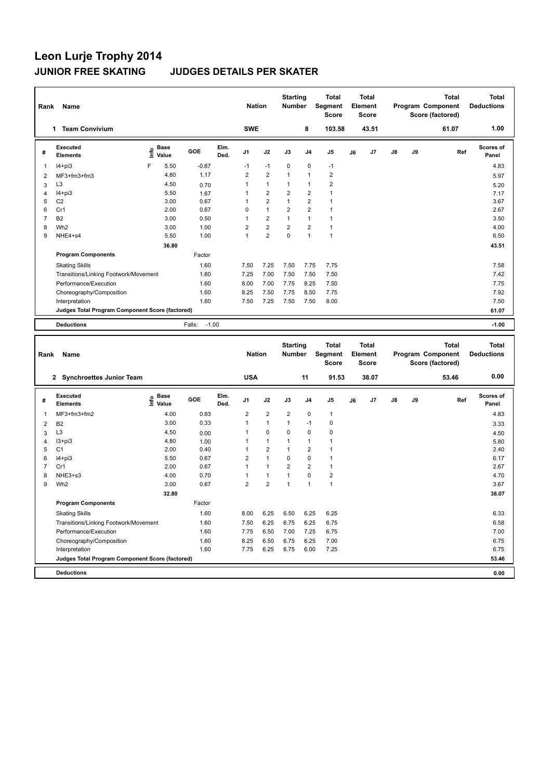### **Leon Lurje Trophy 2014 JUNIOR FREE SKATING JUDGES DETAILS PER SKATER**

| Rank | Name                                            |                            |                   |              | <b>Nation</b>  |                | <b>Starting</b><br><b>Number</b> |                | <b>Total</b><br>Segment<br><b>Score</b> |    | <b>Total</b><br>Element<br><b>Score</b> |               |    | <b>Total</b><br>Program Component<br>Score (factored) | <b>Total</b><br><b>Deductions</b> |
|------|-------------------------------------------------|----------------------------|-------------------|--------------|----------------|----------------|----------------------------------|----------------|-----------------------------------------|----|-----------------------------------------|---------------|----|-------------------------------------------------------|-----------------------------------|
|      | <b>Team Convivium</b><br>1                      |                            |                   |              | <b>SWE</b>     |                |                                  | 8              | 103.58                                  |    | 43.51                                   |               |    | 61.07                                                 | 1.00                              |
| #    | Executed<br><b>Elements</b>                     | <b>Base</b><br>۴٥<br>Value | GOE               | Elm.<br>Ded. | J <sub>1</sub> | J2             | J3                               | J <sub>4</sub> | J5                                      | J6 | J7                                      | $\mathsf{J}8$ | J9 | Ref                                                   | <b>Scores of</b><br>Panel         |
| 1    | $I4+pi3$                                        | 5.50<br>F                  | $-0.67$           |              | $-1$           | $-1$           | 0                                | $\mathbf 0$    | $-1$                                    |    |                                         |               |    |                                                       | 4.83                              |
| 2    | MF3+fm3+fm3                                     | 4.80                       | 1.17              |              | $\overline{2}$ | $\overline{2}$ | $\overline{1}$                   | $\mathbf{1}$   | $\overline{2}$                          |    |                                         |               |    |                                                       | 5.97                              |
| 3    | L <sub>3</sub>                                  | 4.50                       | 0.70              |              | 1              | $\mathbf{1}$   | $\mathbf{1}$                     | $\mathbf{1}$   | $\overline{2}$                          |    |                                         |               |    |                                                       | 5.20                              |
| 4    | $I4 + pi3$                                      | 5.50                       | 1.67              |              | 1              | $\overline{2}$ | $\overline{2}$                   | $\overline{2}$ | $\mathbf{1}$                            |    |                                         |               |    |                                                       | 7.17                              |
| 5    | C <sub>2</sub>                                  | 3.00                       | 0.67              |              | 1              | $\overline{2}$ | $\mathbf{1}$                     | $\overline{2}$ | 1                                       |    |                                         |               |    |                                                       | 3.67                              |
| 6    | Cr1                                             | 2.00                       | 0.67              |              | 0              | $\mathbf{1}$   | $\overline{2}$                   | $\overline{2}$ | 1                                       |    |                                         |               |    |                                                       | 2.67                              |
| 7    | <b>B2</b>                                       | 3.00                       | 0.50              |              | 1              | $\overline{2}$ | 1                                | $\mathbf{1}$   | 1                                       |    |                                         |               |    |                                                       | 3.50                              |
| 8    | Wh <sub>2</sub>                                 | 3.00                       | 1.00              |              | $\overline{2}$ | $\overline{2}$ | $\overline{2}$                   | $\overline{2}$ | $\mathbf{1}$                            |    |                                         |               |    |                                                       | 4.00                              |
| 9    | NHE4+s4                                         | 5.50                       | 1.00              |              | 1              | $\overline{2}$ | 0                                | $\overline{1}$ | $\mathbf{1}$                            |    |                                         |               |    |                                                       | 6.50                              |
|      |                                                 | 36.80                      |                   |              |                |                |                                  |                |                                         |    |                                         |               |    |                                                       | 43.51                             |
|      | <b>Program Components</b>                       |                            | Factor            |              |                |                |                                  |                |                                         |    |                                         |               |    |                                                       |                                   |
|      | <b>Skating Skills</b>                           |                            | 1.60              |              | 7.50           | 7.25           | 7.50                             | 7.75           | 7.75                                    |    |                                         |               |    |                                                       | 7.58                              |
|      | Transitions/Linking Footwork/Movement           |                            | 1.60              |              | 7.25           | 7.00           | 7.50                             | 7.50           | 7.50                                    |    |                                         |               |    |                                                       | 7.42                              |
|      | Performance/Execution                           |                            | 1.60              |              | 8.00           | 7.00           | 7.75                             | 8.25           | 7.50                                    |    |                                         |               |    |                                                       | 7.75                              |
|      | Choreography/Composition                        |                            | 1.60              |              | 8.25           | 7.50           | 7.75                             | 8.50           | 7.75                                    |    |                                         |               |    |                                                       | 7.92                              |
|      | Interpretation                                  |                            | 1.60              |              | 7.50           | 7.25           | 7.50                             | 7.50           | 8.00                                    |    |                                         |               |    |                                                       | 7.50                              |
|      | Judges Total Program Component Score (factored) |                            |                   |              |                |                |                                  |                |                                         |    |                                         |               |    |                                                       | 61.07                             |
|      | <b>Deductions</b>                               |                            | $-1.00$<br>Falls: |              |                |                |                                  |                |                                         |    |                                         |               |    |                                                       | $-1.00$                           |
|      |                                                 |                            |                   |              |                |                |                                  |                |                                         |    |                                         |               |    |                                                       |                                   |

| Rank | Name                                            |                                  |        |              | <b>Nation</b>  |                | <b>Starting</b><br><b>Number</b> |                         | <b>Total</b><br>Segment<br><b>Score</b> |    | <b>Total</b><br>Element<br><b>Score</b> |               |    | <b>Total</b><br>Program Component<br>Score (factored) | <b>Total</b><br><b>Deductions</b> |
|------|-------------------------------------------------|----------------------------------|--------|--------------|----------------|----------------|----------------------------------|-------------------------|-----------------------------------------|----|-----------------------------------------|---------------|----|-------------------------------------------------------|-----------------------------------|
|      | <b>Synchroettes Junior Team</b><br>$\mathbf{2}$ |                                  |        |              | <b>USA</b>     |                |                                  | 11                      | 91.53                                   |    | 38.07                                   |               |    | 53.46                                                 | 0.00                              |
| #    | Executed<br><b>Elements</b>                     | <b>Base</b><br>e Base<br>⊆ Value | GOE    | Elm.<br>Ded. | J <sub>1</sub> | J2             | J3                               | J <sub>4</sub>          | J <sub>5</sub>                          | J6 | J7                                      | $\mathsf{J}8$ | J9 | Ref                                                   | <b>Scores of</b><br>Panel         |
| 1    | MF3+fm3+fm2                                     | 4.00                             | 0.83   |              | $\overline{2}$ | $\overline{2}$ | $\overline{2}$                   | $\pmb{0}$               | 1                                       |    |                                         |               |    |                                                       | 4.83                              |
| 2    | <b>B2</b>                                       | 3.00                             | 0.33   |              | $\overline{1}$ | $\mathbf{1}$   | 1                                | $-1$                    | 0                                       |    |                                         |               |    |                                                       | 3.33                              |
| 3    | L <sub>3</sub>                                  | 4.50                             | 0.00   |              | 1              | $\mathbf 0$    | $\Omega$                         | $\mathbf 0$             | $\mathbf 0$                             |    |                                         |               |    |                                                       | 4.50                              |
| 4    | I3+pi3                                          | 4.80                             | 1.00   |              |                | $\mathbf{1}$   | 1                                | $\mathbf{1}$            | 1                                       |    |                                         |               |    |                                                       | 5.80                              |
| 5    | C <sub>1</sub>                                  | 2.00                             | 0.40   |              |                | $\overline{2}$ | 1                                | $\overline{\mathbf{c}}$ | 1                                       |    |                                         |               |    |                                                       | 2.40                              |
| 6    | $I4 + pi3$                                      | 5.50                             | 0.67   |              | 2              | $\mathbf{1}$   | 0                                | 0                       |                                         |    |                                         |               |    |                                                       | 6.17                              |
|      | Cr1                                             | 2.00                             | 0.67   |              | 1              | $\mathbf{1}$   | $\overline{2}$                   | $\overline{2}$          | 1                                       |    |                                         |               |    |                                                       | 2.67                              |
| 8    | NHE3+s3                                         | 4.00                             | 0.70   |              |                | $\mathbf{1}$   | 1                                | $\mathbf 0$             | 2                                       |    |                                         |               |    |                                                       | 4.70                              |
| 9    | Wh <sub>2</sub>                                 | 3.00                             | 0.67   |              | $\overline{2}$ | $\overline{2}$ | $\overline{1}$                   | $\mathbf{1}$            | 1                                       |    |                                         |               |    |                                                       | 3.67                              |
|      |                                                 | 32.80                            |        |              |                |                |                                  |                         |                                         |    |                                         |               |    |                                                       | 38.07                             |
|      | <b>Program Components</b>                       |                                  | Factor |              |                |                |                                  |                         |                                         |    |                                         |               |    |                                                       |                                   |
|      | <b>Skating Skills</b>                           |                                  | 1.60   |              | 8.00           | 6.25           | 6.50                             | 6.25                    | 6.25                                    |    |                                         |               |    |                                                       | 6.33                              |
|      | Transitions/Linking Footwork/Movement           |                                  | 1.60   |              | 7.50           | 6.25           | 6.75                             | 6.25                    | 6.75                                    |    |                                         |               |    |                                                       | 6.58                              |
|      | Performance/Execution                           |                                  | 1.60   |              | 7.75           | 6.50           | 7.00                             | 7.25                    | 6.75                                    |    |                                         |               |    |                                                       | 7.00                              |
|      | Choreography/Composition                        |                                  | 1.60   |              | 8.25           | 6.50           | 6.75                             | 6.25                    | 7.00                                    |    |                                         |               |    |                                                       | 6.75                              |
|      | Interpretation                                  |                                  | 1.60   |              | 7.75           | 6.25           | 6.75                             | 6.00                    | 7.25                                    |    |                                         |               |    |                                                       | 6.75                              |
|      | Judges Total Program Component Score (factored) |                                  |        |              |                |                |                                  |                         |                                         |    |                                         |               |    |                                                       | 53.46                             |
|      | <b>Deductions</b>                               |                                  |        |              |                |                |                                  |                         |                                         |    |                                         |               |    |                                                       | 0.00                              |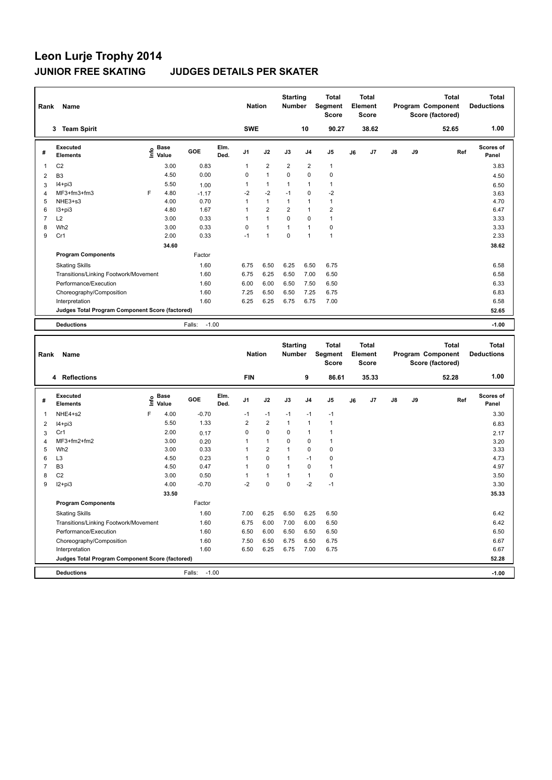| Rank     | Name                                            |    |                      |                   |              | <b>Nation</b>  |                | <b>Starting</b><br><b>Number</b> |                | <b>Total</b><br>Segment<br><b>Score</b> |    | Total<br>Element<br><b>Score</b> |               |    | <b>Total</b><br><b>Program Component</b><br>Score (factored) | Total<br><b>Deductions</b>        |
|----------|-------------------------------------------------|----|----------------------|-------------------|--------------|----------------|----------------|----------------------------------|----------------|-----------------------------------------|----|----------------------------------|---------------|----|--------------------------------------------------------------|-----------------------------------|
|          | 3 Team Spirit                                   |    |                      |                   |              | <b>SWE</b>     |                |                                  | 10             | 90.27                                   |    | 38.62                            |               |    | 52.65                                                        | 1.00                              |
| #        | <b>Executed</b><br><b>Elements</b>              | ۴٥ | <b>Base</b><br>Value | <b>GOE</b>        | Elm.<br>Ded. | J <sub>1</sub> | J2             | J3                               | J <sub>4</sub> | J <sub>5</sub>                          | J6 | J7                               | $\mathsf{J}8$ | J9 | Ref                                                          | Scores of<br>Panel                |
|          | C <sub>2</sub>                                  |    | 3.00                 | 0.83              |              | 1              | 2              | $\overline{2}$                   | $\overline{2}$ | $\mathbf{1}$                            |    |                                  |               |    |                                                              | 3.83                              |
| 2        | B <sub>3</sub>                                  |    | 4.50                 | 0.00              |              | 0              | $\mathbf{1}$   | $\Omega$                         | $\Omega$       | $\pmb{0}$                               |    |                                  |               |    |                                                              | 4.50                              |
| 3        | $I4+pi3$                                        |    | 5.50                 | 1.00              |              | 1              | 1              | 1                                | $\overline{1}$ | $\mathbf{1}$                            |    |                                  |               |    |                                                              | 6.50                              |
| $\Delta$ | $MF3+fm3+fm3$                                   | F  | 4.80                 | $-1.17$           |              | $-2$           | $-2$           | $-1$                             | 0              | $-2$                                    |    |                                  |               |    |                                                              | 3.63                              |
| 5        | NHE3+s3                                         |    | 4.00                 | 0.70              |              | 1              | $\mathbf{1}$   | $\mathbf{1}$                     | $\overline{1}$ | $\mathbf{1}$                            |    |                                  |               |    |                                                              | 4.70                              |
| 6        | $13 + pi3$                                      |    | 4.80                 | 1.67              |              | 1              | $\overline{2}$ | 2                                | $\mathbf{1}$   | 2                                       |    |                                  |               |    |                                                              | 6.47                              |
| 7        | L2                                              |    | 3.00                 | 0.33              |              | 1              | $\mathbf{1}$   | 0                                | 0              | $\mathbf{1}$                            |    |                                  |               |    |                                                              | 3.33                              |
| 8        | Wh <sub>2</sub>                                 |    | 3.00                 | 0.33              |              | 0              | $\mathbf{1}$   | 1                                | $\overline{1}$ | $\mathbf 0$                             |    |                                  |               |    |                                                              | 3.33                              |
| 9        | Cr1                                             |    | 2.00                 | 0.33              |              | $-1$           | 1              | $\mathbf 0$                      | $\overline{1}$ | $\overline{1}$                          |    |                                  |               |    |                                                              | 2.33                              |
|          |                                                 |    | 34.60                |                   |              |                |                |                                  |                |                                         |    |                                  |               |    |                                                              | 38.62                             |
|          | <b>Program Components</b>                       |    |                      | Factor            |              |                |                |                                  |                |                                         |    |                                  |               |    |                                                              |                                   |
|          | <b>Skating Skills</b>                           |    |                      | 1.60              |              | 6.75           | 6.50           | 6.25                             | 6.50           | 6.75                                    |    |                                  |               |    |                                                              | 6.58                              |
|          | Transitions/Linking Footwork/Movement           |    |                      | 1.60              |              | 6.75           | 6.25           | 6.50                             | 7.00           | 6.50                                    |    |                                  |               |    |                                                              | 6.58                              |
|          | Performance/Execution                           |    |                      | 1.60              |              | 6.00           | 6.00           | 6.50                             | 7.50           | 6.50                                    |    |                                  |               |    |                                                              | 6.33                              |
|          | Choreography/Composition                        |    |                      | 1.60              |              | 7.25           | 6.50           | 6.50                             | 7.25           | 6.75                                    |    |                                  |               |    |                                                              | 6.83                              |
|          | Interpretation                                  |    |                      | 1.60              |              | 6.25           | 6.25           | 6.75                             | 6.75           | 7.00                                    |    |                                  |               |    |                                                              | 6.58                              |
|          | Judges Total Program Component Score (factored) |    |                      |                   |              |                |                |                                  |                |                                         |    |                                  |               |    |                                                              | 52.65                             |
|          | <b>Deductions</b>                               |    |                      | $-1.00$<br>Falls: |              |                |                |                                  |                |                                         |    |                                  |               |    |                                                              | $-1.00$                           |
|          | Project Made                                    |    |                      |                   |              | <b>Mation</b>  |                | <b>Starting</b>                  |                | <b>Total</b><br>Number Compant          |    | <b>Total</b><br>Element          |               |    | <b>Total</b><br>Drogram Component                            | <b>Total</b><br><b>Deductions</b> |

| Rank | Name                                            |    |                      |                   |              | <b>Nation</b>  |                | <b>Number</b> |                | Segment<br><b>Score</b> |    | Element<br><b>Score</b> |               |    | Program Component<br>Score (factored) | <b>Deductions</b>         |
|------|-------------------------------------------------|----|----------------------|-------------------|--------------|----------------|----------------|---------------|----------------|-------------------------|----|-------------------------|---------------|----|---------------------------------------|---------------------------|
|      | 4 Reflections                                   |    |                      |                   |              | <b>FIN</b>     |                |               | 9              | 86.61                   |    | 35.33                   |               |    | 52.28                                 | 1.00                      |
| #    | Executed<br><b>Elements</b>                     | ۴ô | <b>Base</b><br>Value | GOE               | Elm.<br>Ded. | J <sub>1</sub> | J2             | J3            | J <sub>4</sub> | J <sub>5</sub>          | J6 | J7                      | $\mathsf{J}8$ | J9 | Ref                                   | <b>Scores of</b><br>Panel |
|      | NHE4+s2                                         | F  | 4.00                 | $-0.70$           |              | $-1$           | $-1$           | $-1$          | $-1$           | $-1$                    |    |                         |               |    |                                       | 3.30                      |
| 2    | $I4 + pi3$                                      |    | 5.50                 | 1.33              |              | $\overline{2}$ | $\overline{2}$ |               | $\overline{1}$ | $\mathbf{1}$            |    |                         |               |    |                                       | 6.83                      |
| 3    | Cr1                                             |    | 2.00                 | 0.17              |              | 0              | 0              | 0             |                | 1                       |    |                         |               |    |                                       | 2.17                      |
| 4    | MF3+fm2+fm2                                     |    | 3.00                 | 0.20              |              |                | $\mathbf{1}$   | 0             | 0              | 1                       |    |                         |               |    |                                       | 3.20                      |
| 5    | Wh <sub>2</sub>                                 |    | 3.00                 | 0.33              |              |                | $\overline{2}$ |               | $\mathbf 0$    | 0                       |    |                         |               |    |                                       | 3.33                      |
| 6    | L <sub>3</sub>                                  |    | 4.50                 | 0.23              |              |                | $\mathbf 0$    |               | $-1$           | 0                       |    |                         |               |    |                                       | 4.73                      |
|      | B <sub>3</sub>                                  |    | 4.50                 | 0.47              |              |                | $\mathbf 0$    |               | $\mathbf 0$    | $\mathbf{1}$            |    |                         |               |    |                                       | 4.97                      |
| 8    | C <sub>2</sub>                                  |    | 3.00                 | 0.50              |              |                | $\mathbf{1}$   |               | $\overline{1}$ | 0                       |    |                         |               |    |                                       | 3.50                      |
| 9    | $I2 + pi3$                                      |    | 4.00                 | $-0.70$           |              | $-2$           | $\mathbf 0$    | $\mathbf 0$   | $-2$           | $-1$                    |    |                         |               |    |                                       | 3.30                      |
|      |                                                 |    | 33.50                |                   |              |                |                |               |                |                         |    |                         |               |    |                                       | 35.33                     |
|      | <b>Program Components</b>                       |    |                      | Factor            |              |                |                |               |                |                         |    |                         |               |    |                                       |                           |
|      | <b>Skating Skills</b>                           |    |                      | 1.60              |              | 7.00           | 6.25           | 6.50          | 6.25           | 6.50                    |    |                         |               |    |                                       | 6.42                      |
|      | Transitions/Linking Footwork/Movement           |    |                      | 1.60              |              | 6.75           | 6.00           | 7.00          | 6.00           | 6.50                    |    |                         |               |    |                                       | 6.42                      |
|      | Performance/Execution                           |    |                      | 1.60              |              | 6.50           | 6.00           | 6.50          | 6.50           | 6.50                    |    |                         |               |    |                                       | 6.50                      |
|      | Choreography/Composition                        |    |                      | 1.60              |              | 7.50           | 6.50           | 6.75          | 6.50           | 6.75                    |    |                         |               |    |                                       | 6.67                      |
|      | Interpretation                                  |    |                      | 1.60              |              | 6.50           | 6.25           | 6.75          | 7.00           | 6.75                    |    |                         |               |    |                                       | 6.67                      |
|      | Judges Total Program Component Score (factored) |    |                      |                   |              |                |                |               |                |                         |    |                         |               |    |                                       | 52.28                     |
|      | <b>Deductions</b>                               |    |                      | $-1.00$<br>Falls: |              |                |                |               |                |                         |    |                         |               |    |                                       | $-1.00$                   |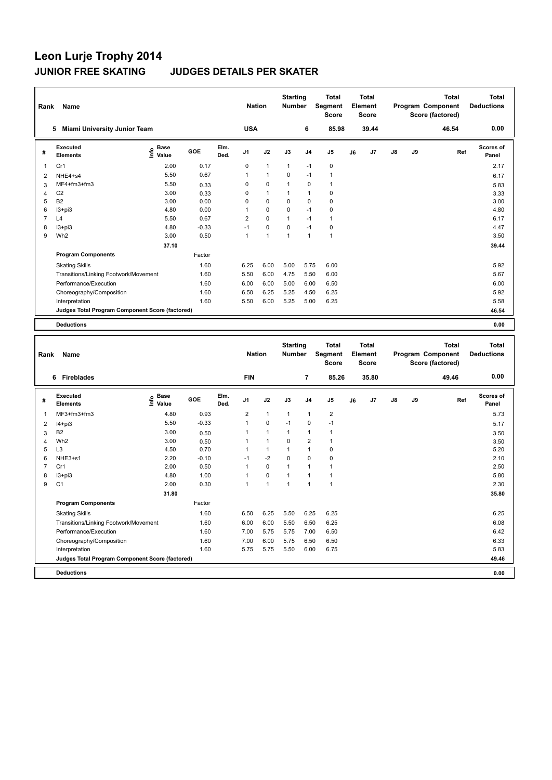| Rank           | Name                                            |                            |         |              | <b>Nation</b>  |                | <b>Starting</b><br><b>Number</b> |                | <b>Total</b><br>Segment<br><b>Score</b> |    | <b>Total</b><br>Element<br>Score |               |    | <b>Total</b><br>Program Component<br>Score (factored) | <b>Total</b><br><b>Deductions</b> |
|----------------|-------------------------------------------------|----------------------------|---------|--------------|----------------|----------------|----------------------------------|----------------|-----------------------------------------|----|----------------------------------|---------------|----|-------------------------------------------------------|-----------------------------------|
|                | <b>Miami University Junior Team</b><br>5        |                            |         |              | <b>USA</b>     |                |                                  | 6              | 85.98                                   |    | 39.44                            |               |    | 46.54                                                 | 0.00                              |
| #              | Executed<br><b>Elements</b>                     | <b>Base</b><br>۴o<br>Value | GOE     | Elm.<br>Ded. | J <sub>1</sub> | J2             | J3                               | J <sub>4</sub> | J <sub>5</sub>                          | J6 | J7                               | $\mathsf{J}8$ | J9 | Ref                                                   | <b>Scores of</b><br>Panel         |
| 1              | Cr1                                             | 2.00                       | 0.17    |              | 0              | $\mathbf{1}$   | $\mathbf{1}$                     | $-1$           | 0                                       |    |                                  |               |    |                                                       | 2.17                              |
| 2              | NHE4+s4                                         | 5.50                       | 0.67    |              | 1              | $\mathbf{1}$   | 0                                | $-1$           | $\mathbf{1}$                            |    |                                  |               |    |                                                       | 6.17                              |
| 3              | MF4+fm3+fm3                                     | 5.50                       | 0.33    |              | 0              | 0              | 1                                | $\mathbf 0$    | $\mathbf{1}$                            |    |                                  |               |    |                                                       | 5.83                              |
| 4              | C <sub>2</sub>                                  | 3.00                       | 0.33    |              | 0              | $\mathbf{1}$   | 1                                | $\overline{1}$ | $\mathbf 0$                             |    |                                  |               |    |                                                       | 3.33                              |
| 5              | <b>B2</b>                                       | 3.00                       | 0.00    |              | 0              | $\Omega$       | 0                                | $\mathbf 0$    | $\pmb{0}$                               |    |                                  |               |    |                                                       | 3.00                              |
| 6              | $13 + pi3$                                      | 4.80                       | 0.00    |              | 1              | $\mathbf 0$    | 0                                | $-1$           | $\mathbf 0$                             |    |                                  |               |    |                                                       | 4.80                              |
| $\overline{7}$ | L4                                              | 5.50                       | 0.67    |              | $\overline{2}$ | 0              | 1                                | $-1$           | $\mathbf{1}$                            |    |                                  |               |    |                                                       | 6.17                              |
| 8              | $13 + pi3$                                      | 4.80                       | $-0.33$ |              | $-1$           | 0              | 0                                | $-1$           | 0                                       |    |                                  |               |    |                                                       | 4.47                              |
| 9              | Wh <sub>2</sub>                                 | 3.00                       | 0.50    |              | 1              | $\overline{1}$ | 1                                | $\overline{1}$ | $\mathbf{1}$                            |    |                                  |               |    |                                                       | 3.50                              |
|                |                                                 | 37.10                      |         |              |                |                |                                  |                |                                         |    |                                  |               |    |                                                       | 39.44                             |
|                | <b>Program Components</b>                       |                            | Factor  |              |                |                |                                  |                |                                         |    |                                  |               |    |                                                       |                                   |
|                | <b>Skating Skills</b>                           |                            | 1.60    |              | 6.25           | 6.00           | 5.00                             | 5.75           | 6.00                                    |    |                                  |               |    |                                                       | 5.92                              |
|                | Transitions/Linking Footwork/Movement           |                            | 1.60    |              | 5.50           | 6.00           | 4.75                             | 5.50           | 6.00                                    |    |                                  |               |    |                                                       | 5.67                              |
|                | Performance/Execution                           |                            | 1.60    |              | 6.00           | 6.00           | 5.00                             | 6.00           | 6.50                                    |    |                                  |               |    |                                                       | 6.00                              |
|                | Choreography/Composition                        |                            | 1.60    |              | 6.50           | 6.25           | 5.25                             | 4.50           | 6.25                                    |    |                                  |               |    |                                                       | 5.92                              |
|                | Interpretation                                  |                            | 1.60    |              | 5.50           | 6.00           | 5.25                             | 5.00           | 6.25                                    |    |                                  |               |    |                                                       | 5.58                              |
|                | Judges Total Program Component Score (factored) |                            |         |              |                |                |                                  |                |                                         |    |                                  |               |    |                                                       | 46.54                             |
|                | <b>Deductions</b>                               |                            |         |              |                |                |                                  |                |                                         |    |                                  |               |    |                                                       | 0.00                              |
|                |                                                 |                            |         |              |                |                |                                  |                |                                         |    |                                  |               |    |                                                       |                                   |
| Rank           | Name                                            |                            |         |              | <b>Nation</b>  |                | <b>Starting</b><br><b>Number</b> |                | <b>Total</b><br>Segment<br><b>Score</b> |    | Total<br>Element<br>Score        |               |    | <b>Total</b><br>Program Component<br>Score (factored) | Total<br><b>Deductions</b>        |
|                | C. Electrication                                |                            |         |              | <b>CINI</b>    |                |                                  | ⇁              | or oc                                   |    | or on                            |               |    | 10.10                                                 | n nn                              |

|   | <b>Fireblades</b><br>6                          |                              |            |              | <b>FIN</b>     |          |                | 7              | 85.26          |    | 35.80 |    |    | 49.46 | 0.00                      |
|---|-------------------------------------------------|------------------------------|------------|--------------|----------------|----------|----------------|----------------|----------------|----|-------|----|----|-------|---------------------------|
| # | Executed<br><b>Elements</b>                     | <b>Base</b><br>lnfo<br>Value | <b>GOE</b> | Elm.<br>Ded. | J <sub>1</sub> | J2       | J3             | J <sub>4</sub> | J <sub>5</sub> | J6 | J7    | J8 | J9 | Ref   | <b>Scores of</b><br>Panel |
| 1 | MF3+fm3+fm3                                     | 4.80                         | 0.93       |              | $\overline{2}$ |          | $\mathbf{1}$   | $\mathbf{1}$   | 2              |    |       |    |    |       | 5.73                      |
| 2 | $I4 + pi3$                                      | 5.50                         | $-0.33$    |              | $\overline{1}$ | 0        | $-1$           | 0              | $-1$           |    |       |    |    |       | 5.17                      |
| 3 | B <sub>2</sub>                                  | 3.00                         | 0.50       |              |                |          | $\mathbf{1}$   | 1              |                |    |       |    |    |       | 3.50                      |
| 4 | Wh <sub>2</sub>                                 | 3.00                         | 0.50       |              |                |          | $\mathbf 0$    | $\overline{2}$ |                |    |       |    |    |       | 3.50                      |
| 5 | L <sub>3</sub>                                  | 4.50                         | 0.70       |              |                |          | $\overline{1}$ | $\mathbf{1}$   | 0              |    |       |    |    |       | 5.20                      |
| 6 | NHE3+s1                                         | 2.20                         | $-0.10$    |              | $-1$           | $-2$     | $\mathbf 0$    | $\mathbf 0$    | 0              |    |       |    |    |       | 2.10                      |
|   | Cr1                                             | 2.00                         | 0.50       |              | $\overline{1}$ | 0        | $\mathbf{1}$   | 1              |                |    |       |    |    |       | 2.50                      |
| 8 | I3+pi3                                          | 4.80                         | 1.00       |              |                | $\Omega$ | $\mathbf{1}$   | $\mathbf{1}$   |                |    |       |    |    |       | 5.80                      |
| 9 | C <sub>1</sub>                                  | 2.00                         | 0.30       |              | $\overline{1}$ |          | 1              | $\mathbf{1}$   | 1              |    |       |    |    |       | 2.30                      |
|   |                                                 | 31.80                        |            |              |                |          |                |                |                |    |       |    |    |       | 35.80                     |
|   | <b>Program Components</b>                       |                              | Factor     |              |                |          |                |                |                |    |       |    |    |       |                           |
|   | <b>Skating Skills</b>                           |                              | 1.60       |              | 6.50           | 6.25     | 5.50           | 6.25           | 6.25           |    |       |    |    |       | 6.25                      |
|   | Transitions/Linking Footwork/Movement           |                              | 1.60       |              | 6.00           | 6.00     | 5.50           | 6.50           | 6.25           |    |       |    |    |       | 6.08                      |
|   | Performance/Execution                           |                              | 1.60       |              | 7.00           | 5.75     | 5.75           | 7.00           | 6.50           |    |       |    |    |       | 6.42                      |
|   | Choreography/Composition                        |                              | 1.60       |              | 7.00           | 6.00     | 5.75           | 6.50           | 6.50           |    |       |    |    |       | 6.33                      |
|   | Interpretation                                  |                              | 1.60       |              | 5.75           | 5.75     | 5.50           | 6.00           | 6.75           |    |       |    |    |       | 5.83                      |
|   | Judges Total Program Component Score (factored) |                              |            |              |                |          |                |                |                |    |       |    |    |       | 49.46                     |
|   | <b>Deductions</b>                               |                              |            |              |                |          |                |                |                |    |       |    |    |       | 0.00                      |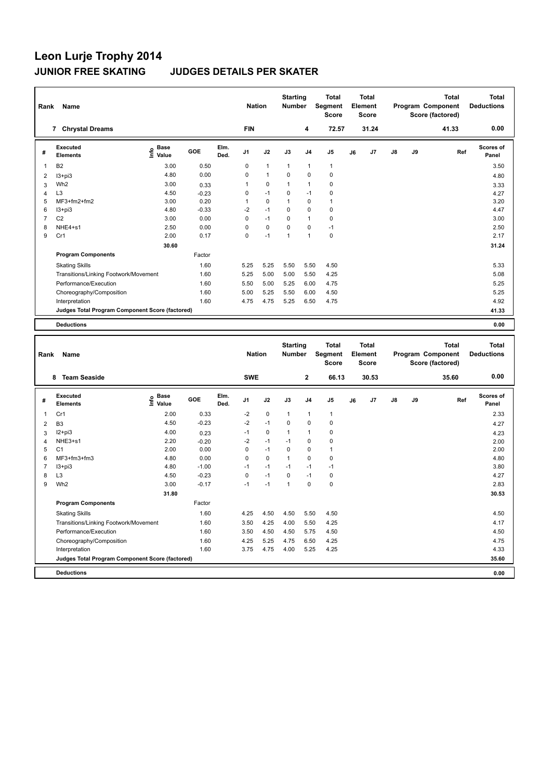| Rank | Name                                            |                                  |         |              | <b>Nation</b>  |              | <b>Starting</b><br><b>Number</b> |                | <b>Total</b><br>Segment<br><b>Score</b> |    | Total<br>Element<br><b>Score</b> |               |    | <b>Total</b><br>Program Component<br>Score (factored) | <b>Total</b><br><b>Deductions</b> |
|------|-------------------------------------------------|----------------------------------|---------|--------------|----------------|--------------|----------------------------------|----------------|-----------------------------------------|----|----------------------------------|---------------|----|-------------------------------------------------------|-----------------------------------|
|      | <b>Chrystal Dreams</b><br>$\overline{7}$        |                                  |         |              | <b>FIN</b>     |              |                                  | 4              | 72.57                                   |    | 31.24                            |               |    | 41.33                                                 | 0.00                              |
| #    | Executed<br><b>Elements</b>                     | <b>Base</b><br>e Base<br>⊆ Value | GOE     | Elm.<br>Ded. | J <sub>1</sub> | J2           | J3                               | J <sub>4</sub> | J <sub>5</sub>                          | J6 | J7                               | $\mathsf{J}8$ | J9 | Ref                                                   | Scores of<br>Panel                |
| 1    | B <sub>2</sub>                                  | 3.00                             | 0.50    |              | 0              | $\mathbf{1}$ | $\overline{1}$                   | $\overline{1}$ | $\mathbf{1}$                            |    |                                  |               |    |                                                       | 3.50                              |
| 2    | $13 + pi3$                                      | 4.80                             | 0.00    |              | 0              | $\mathbf{1}$ | $\Omega$                         | $\mathbf 0$    | $\pmb{0}$                               |    |                                  |               |    |                                                       | 4.80                              |
| 3    | Wh <sub>2</sub>                                 | 3.00                             | 0.33    |              | 1              | $\Omega$     | 1                                | $\overline{1}$ | 0                                       |    |                                  |               |    |                                                       | 3.33                              |
| 4    | L <sub>3</sub>                                  | 4.50                             | $-0.23$ |              | 0              | $-1$         | 0                                | $-1$           | 0                                       |    |                                  |               |    |                                                       | 4.27                              |
| 5    | $MF3+fm2+fm2$                                   | 3.00                             | 0.20    |              | 1              | $\Omega$     | 1                                | $\Omega$       | $\mathbf{1}$                            |    |                                  |               |    |                                                       | 3.20                              |
| 6    | $13 + pi3$                                      | 4.80                             | $-0.33$ |              | $-2$           | $-1$         | $\mathbf 0$                      | $\mathbf 0$    | $\mathbf 0$                             |    |                                  |               |    |                                                       | 4.47                              |
| 7    | C <sub>2</sub>                                  | 3.00                             | 0.00    |              | 0              | $-1$         | $\Omega$                         | $\overline{1}$ | $\pmb{0}$                               |    |                                  |               |    |                                                       | 3.00                              |
| 8    | NHE4+s1                                         | 2.50                             | 0.00    |              | 0              | $\mathbf 0$  | 0                                | 0              | $-1$                                    |    |                                  |               |    |                                                       | 2.50                              |
| 9    | Cr1                                             | 2.00                             | 0.17    |              | 0              | $-1$         | $\mathbf{1}$                     | $\overline{1}$ | $\mathbf 0$                             |    |                                  |               |    |                                                       | 2.17                              |
|      |                                                 | 30.60                            |         |              |                |              |                                  |                |                                         |    |                                  |               |    |                                                       | 31.24                             |
|      | <b>Program Components</b>                       |                                  | Factor  |              |                |              |                                  |                |                                         |    |                                  |               |    |                                                       |                                   |
|      | <b>Skating Skills</b>                           |                                  | 1.60    |              | 5.25           | 5.25         | 5.50                             | 5.50           | 4.50                                    |    |                                  |               |    |                                                       | 5.33                              |
|      | Transitions/Linking Footwork/Movement           |                                  | 1.60    |              | 5.25           | 5.00         | 5.00                             | 5.50           | 4.25                                    |    |                                  |               |    |                                                       | 5.08                              |
|      | Performance/Execution                           |                                  | 1.60    |              | 5.50           | 5.00         | 5.25                             | 6.00           | 4.75                                    |    |                                  |               |    |                                                       | 5.25                              |
|      | Choreography/Composition                        |                                  | 1.60    |              | 5.00           | 5.25         | 5.50                             | 6.00           | 4.50                                    |    |                                  |               |    |                                                       | 5.25                              |
|      | Interpretation                                  |                                  | 1.60    |              | 4.75           | 4.75         | 5.25                             | 6.50           | 4.75                                    |    |                                  |               |    |                                                       | 4.92                              |
|      | Judges Total Program Component Score (factored) |                                  |         |              |                |              |                                  |                |                                         |    |                                  |               |    |                                                       | 41.33                             |
|      | <b>Deductions</b>                               |                                  |         |              |                |              |                                  |                |                                         |    |                                  |               |    |                                                       | 0.00                              |

| Rank           | <b>Name</b>                                     |                       |         |              | <b>Nation</b>  |             | <b>Starting</b><br><b>Number</b> |                | <b>Total</b><br>Segment<br><b>Score</b> |    | <b>Total</b><br>Element<br><b>Score</b> |               |    | <b>Total</b><br>Program Component<br>Score (factored) | <b>Total</b><br><b>Deductions</b> |
|----------------|-------------------------------------------------|-----------------------|---------|--------------|----------------|-------------|----------------------------------|----------------|-----------------------------------------|----|-----------------------------------------|---------------|----|-------------------------------------------------------|-----------------------------------|
|                | <b>Team Seaside</b><br>8                        |                       |         |              | <b>SWE</b>     |             |                                  | $\mathbf{2}$   | 66.13                                   |    | 30.53                                   |               |    | 35.60                                                 | 0.00                              |
| #              | Executed<br><b>Elements</b>                     | Base<br>lnfo<br>Value | GOE     | Elm.<br>Ded. | J <sub>1</sub> | J2          | J3                               | J <sub>4</sub> | J <sub>5</sub>                          | J6 | J7                                      | $\mathsf{J}8$ | J9 | Ref                                                   | <b>Scores of</b><br>Panel         |
| 1              | Cr1                                             | 2.00                  | 0.33    |              | $-2$           | $\pmb{0}$   | $\mathbf{1}$                     | 1              | $\mathbf{1}$                            |    |                                         |               |    |                                                       | 2.33                              |
| $\overline{2}$ | B <sub>3</sub>                                  | 4.50                  | $-0.23$ |              | $-2$           | $-1$        | $\Omega$                         | $\pmb{0}$      | 0                                       |    |                                         |               |    |                                                       | 4.27                              |
| 3              | $12+pi3$                                        | 4.00                  | 0.23    |              | $-1$           | $\mathbf 0$ | 1                                | $\mathbf{1}$   | 0                                       |    |                                         |               |    |                                                       | 4.23                              |
| 4              | NHE3+s1                                         | 2.20                  | $-0.20$ |              | $-2$           | $-1$        | $-1$                             | 0              | 0                                       |    |                                         |               |    |                                                       | 2.00                              |
| 5              | C <sub>1</sub>                                  | 2.00                  | 0.00    |              | 0              | $-1$        | 0                                | $\pmb{0}$      | $\mathbf{1}$                            |    |                                         |               |    |                                                       | 2.00                              |
| 6              | $MF3+fm3+fm3$                                   | 4.80                  | 0.00    |              | 0              | $\Omega$    | 1                                | $\mathbf 0$    | 0                                       |    |                                         |               |    |                                                       | 4.80                              |
| 7              | $13 + pi3$                                      | 4.80                  | $-1.00$ |              | $-1$           | $-1$        | $-1$                             | $-1$           | $-1$                                    |    |                                         |               |    |                                                       | 3.80                              |
| 8              | L <sub>3</sub>                                  | 4.50                  | $-0.23$ |              | $\mathbf 0$    | $-1$        | 0                                | $-1$           | 0                                       |    |                                         |               |    |                                                       | 4.27                              |
| 9              | Wh <sub>2</sub>                                 | 3.00                  | $-0.17$ |              | $-1$           | $-1$        | $\mathbf{1}$                     | $\mathbf 0$    | $\pmb{0}$                               |    |                                         |               |    |                                                       | 2.83                              |
|                |                                                 | 31.80                 |         |              |                |             |                                  |                |                                         |    |                                         |               |    |                                                       | 30.53                             |
|                | <b>Program Components</b>                       |                       | Factor  |              |                |             |                                  |                |                                         |    |                                         |               |    |                                                       |                                   |
|                | <b>Skating Skills</b>                           |                       | 1.60    |              | 4.25           | 4.50        | 4.50                             | 5.50           | 4.50                                    |    |                                         |               |    |                                                       | 4.50                              |
|                | Transitions/Linking Footwork/Movement           |                       | 1.60    |              | 3.50           | 4.25        | 4.00                             | 5.50           | 4.25                                    |    |                                         |               |    |                                                       | 4.17                              |
|                | Performance/Execution                           |                       | 1.60    |              | 3.50           | 4.50        | 4.50                             | 5.75           | 4.50                                    |    |                                         |               |    |                                                       | 4.50                              |
|                | Choreography/Composition                        |                       | 1.60    |              | 4.25           | 5.25        | 4.75                             | 6.50           | 4.25                                    |    |                                         |               |    |                                                       | 4.75                              |
|                | Interpretation                                  |                       | 1.60    |              | 3.75           | 4.75        | 4.00                             | 5.25           | 4.25                                    |    |                                         |               |    |                                                       | 4.33                              |
|                | Judges Total Program Component Score (factored) |                       |         |              |                |             |                                  |                |                                         |    |                                         |               |    |                                                       | 35.60                             |
|                | <b>Deductions</b>                               |                       |         |              |                |             |                                  |                |                                         |    |                                         |               |    |                                                       | 0.00                              |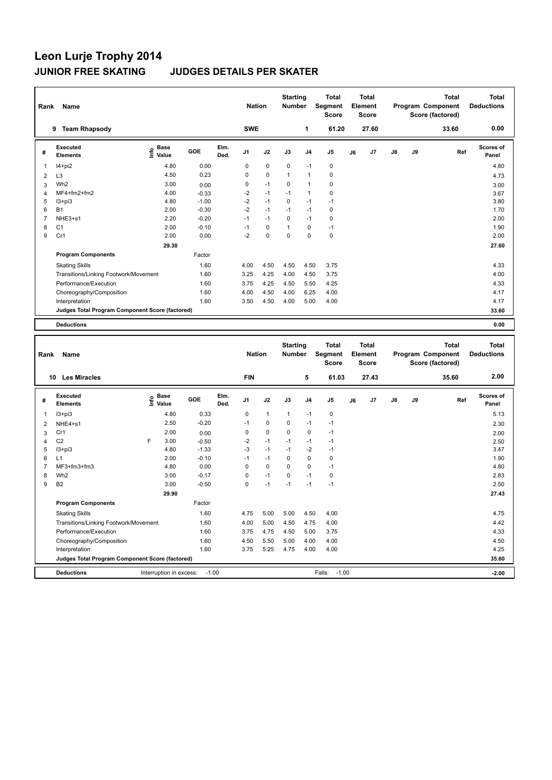| Rank | Name                                            |                                  |         |              | <b>Nation</b>  |             | <b>Starting</b><br><b>Number</b> |                | Total<br>Segment<br><b>Score</b> |    | Total<br>Element<br><b>Score</b> |               |    | Total<br>Program Component<br>Score (factored) | <b>Total</b><br><b>Deductions</b> |
|------|-------------------------------------------------|----------------------------------|---------|--------------|----------------|-------------|----------------------------------|----------------|----------------------------------|----|----------------------------------|---------------|----|------------------------------------------------|-----------------------------------|
|      | <b>Team Rhapsody</b><br>9                       |                                  |         |              | <b>SWE</b>     |             |                                  | 1              | 61.20                            |    | 27.60                            |               |    | 33.60                                          | 0.00                              |
| #    | Executed<br><b>Elements</b>                     | <b>Base</b><br>e Base<br>⊆ Value | GOE     | Elm.<br>Ded. | J <sub>1</sub> | J2          | J3                               | J <sub>4</sub> | J <sub>5</sub>                   | J6 | J7                               | $\mathsf{J}8$ | J9 | Ref                                            | <b>Scores of</b><br>Panel         |
| 1    | $I4+pi2$                                        | 4.80                             | 0.00    |              | $\Omega$       | $\mathbf 0$ | $\mathbf 0$                      | $-1$           | $\pmb{0}$                        |    |                                  |               |    |                                                | 4.80                              |
| 2    | L <sub>3</sub>                                  | 4.50                             | 0.23    |              | 0              | $\pmb{0}$   | $\mathbf{1}$                     | $\overline{1}$ | $\pmb{0}$                        |    |                                  |               |    |                                                | 4.73                              |
| 3    | Wh <sub>2</sub>                                 | 3.00                             | 0.00    |              | 0              | $-1$        | $\Omega$                         | $\overline{1}$ | $\mathbf 0$                      |    |                                  |               |    |                                                | 3.00                              |
| 4    | MF4+fm2+fm2                                     | 4.00                             | $-0.33$ |              | $-2$           | $-1$        | $-1$                             | $\mathbf{1}$   | $\mathbf 0$                      |    |                                  |               |    |                                                | 3.67                              |
| 5    | $13 + pi3$                                      | 4.80                             | $-1.00$ |              | $-2$           | $-1$        | $\mathbf 0$                      | $-1$           | $-1$                             |    |                                  |               |    |                                                | 3.80                              |
| 6    | <b>B1</b>                                       | 2.00                             | $-0.30$ |              | $-2$           | $-1$        | $-1$                             | $-1$           | $\mathbf 0$                      |    |                                  |               |    |                                                | 1.70                              |
| 7    | NHE3+s1                                         | 2.20                             | $-0.20$ |              | $-1$           | $-1$        | $\Omega$                         | $-1$           | $\mathbf 0$                      |    |                                  |               |    |                                                | 2.00                              |
| 8    | C <sub>1</sub>                                  | 2.00                             | $-0.10$ |              | $-1$           | $\mathbf 0$ | 1                                | $\Omega$       | $-1$                             |    |                                  |               |    |                                                | 1.90                              |
| 9    | Cr1                                             | 2.00                             | 0.00    |              | $-2$           | $\mathbf 0$ | $\mathbf 0$                      | $\mathbf 0$    | $\mathbf 0$                      |    |                                  |               |    |                                                | 2.00                              |
|      |                                                 | 29.30                            |         |              |                |             |                                  |                |                                  |    |                                  |               |    |                                                | 27.60                             |
|      | <b>Program Components</b>                       |                                  | Factor  |              |                |             |                                  |                |                                  |    |                                  |               |    |                                                |                                   |
|      | <b>Skating Skills</b>                           |                                  | 1.60    |              | 4.00           | 4.50        | 4.50                             | 4.50           | 3.75                             |    |                                  |               |    |                                                | 4.33                              |
|      | Transitions/Linking Footwork/Movement           |                                  | 1.60    |              | 3.25           | 4.25        | 4.00                             | 4.50           | 3.75                             |    |                                  |               |    |                                                | 4.00                              |
|      | Performance/Execution                           |                                  | 1.60    |              | 3.75           | 4.25        | 4.50                             | 5.50           | 4.25                             |    |                                  |               |    |                                                | 4.33                              |
|      | Choreography/Composition                        |                                  | 1.60    |              | 4.00           | 4.50        | 4.00                             | 6.25           | 4.00                             |    |                                  |               |    |                                                | 4.17                              |
|      | Interpretation                                  |                                  | 1.60    |              | 3.50           | 4.50        | 4.00                             | 5.00           | 4.00                             |    |                                  |               |    |                                                | 4.17                              |
|      | Judges Total Program Component Score (factored) |                                  |         |              |                |             |                                  |                |                                  |    |                                  |               |    |                                                | 33.60                             |
|      | <b>Deductions</b>                               |                                  |         |              |                |             |                                  |                |                                  |    |                                  |               |    |                                                | 0.00                              |
|      |                                                 |                                  |         |              |                |             |                                  |                |                                  |    |                                  |               |    |                                                |                                   |

| Rank | Name                                            |   |                                  |         |              | <b>Nation</b>  |              | <b>Starting</b><br><b>Number</b> |                | <b>Total</b><br>Segment<br><b>Score</b> |    | <b>Total</b><br>Element<br><b>Score</b> |               |    | <b>Total</b><br>Program Component<br>Score (factored) | <b>Total</b><br><b>Deductions</b> |
|------|-------------------------------------------------|---|----------------------------------|---------|--------------|----------------|--------------|----------------------------------|----------------|-----------------------------------------|----|-----------------------------------------|---------------|----|-------------------------------------------------------|-----------------------------------|
|      | <b>Les Miracles</b><br>10                       |   |                                  |         |              | <b>FIN</b>     |              |                                  | 5              | 61.03                                   |    | 27.43                                   |               |    | 35.60                                                 | 2.00                              |
| #    | Executed<br><b>Elements</b>                     |   | <b>Base</b><br>e Base<br>⊆ Value | GOE     | Elm.<br>Ded. | J <sub>1</sub> | J2           | J3                               | J <sub>4</sub> | J <sub>5</sub>                          | J6 | J7                                      | $\mathsf{J}8$ | J9 | Ref                                                   | <b>Scores of</b><br>Panel         |
| 1    | $13 + pi3$                                      |   | 4.80                             | 0.33    |              | 0              | $\mathbf{1}$ | $\mathbf{1}$                     | $-1$           | 0                                       |    |                                         |               |    |                                                       | 5.13                              |
| 2    | NHE4+s1                                         |   | 2.50                             | $-0.20$ |              | $-1$           | $\mathbf 0$  | $\Omega$                         | $-1$           | $-1$                                    |    |                                         |               |    |                                                       | 2.30                              |
| 3    | Cr1                                             |   | 2.00                             | 0.00    |              | 0              | $\mathbf 0$  | $\Omega$                         | $\mathbf 0$    | $-1$                                    |    |                                         |               |    |                                                       | 2.00                              |
| 4    | C <sub>2</sub>                                  | F | 3.00                             | $-0.50$ |              | $-2$           | $-1$         | $-1$                             | $-1$           | $-1$                                    |    |                                         |               |    |                                                       | 2.50                              |
| 5    | $13 + pi3$                                      |   | 4.80                             | $-1.33$ |              | $-3$           | $-1$         | $-1$                             | $-2$           | $-1$                                    |    |                                         |               |    |                                                       | 3.47                              |
| 6    | L1                                              |   | 2.00                             | $-0.10$ |              | $-1$           | $-1$         | $\Omega$                         | $\mathbf 0$    | 0                                       |    |                                         |               |    |                                                       | 1.90                              |
|      | MF3+fm3+fm3                                     |   | 4.80                             | 0.00    |              | 0              | 0            | $\Omega$                         | $\mathbf 0$    | $-1$                                    |    |                                         |               |    |                                                       | 4.80                              |
| 8    | Wh <sub>2</sub>                                 |   | 3.00                             | $-0.17$ |              | 0              | $-1$         | $\Omega$                         | $-1$           | 0                                       |    |                                         |               |    |                                                       | 2.83                              |
| 9    | <b>B2</b>                                       |   | 3.00                             | $-0.50$ |              | 0              | $-1$         | $-1$                             | $-1$           | $-1$                                    |    |                                         |               |    |                                                       | 2.50                              |
|      |                                                 |   | 29.90                            |         |              |                |              |                                  |                |                                         |    |                                         |               |    |                                                       | 27.43                             |
|      | <b>Program Components</b>                       |   |                                  | Factor  |              |                |              |                                  |                |                                         |    |                                         |               |    |                                                       |                                   |
|      | <b>Skating Skills</b>                           |   |                                  | 1.60    |              | 4.75           | 5.00         | 5.00                             | 4.50           | 4.00                                    |    |                                         |               |    |                                                       | 4.75                              |
|      | Transitions/Linking Footwork/Movement           |   |                                  | 1.60    |              | 4.00           | 5.00         | 4.50                             | 4.75           | 4.00                                    |    |                                         |               |    |                                                       | 4.42                              |
|      | Performance/Execution                           |   |                                  | 1.60    |              | 3.75           | 4.75         | 4.50                             | 5.00           | 3.75                                    |    |                                         |               |    |                                                       | 4.33                              |
|      | Choreography/Composition                        |   |                                  | 1.60    |              | 4.50           | 5.50         | 5.00                             | 4.00           | 4.00                                    |    |                                         |               |    |                                                       | 4.50                              |
|      | Interpretation                                  |   |                                  | 1.60    |              | 3.75           | 5.25         | 4.75                             | 4.00           | 4.00                                    |    |                                         |               |    |                                                       | 4.25                              |
|      | Judges Total Program Component Score (factored) |   |                                  |         |              |                |              |                                  |                |                                         |    |                                         |               |    |                                                       | 35.60                             |
|      | <b>Deductions</b>                               |   | Interruption in excess:          | $-1.00$ |              |                |              |                                  |                | $-1.00$<br>Falls:                       |    |                                         |               |    |                                                       | $-2.00$                           |